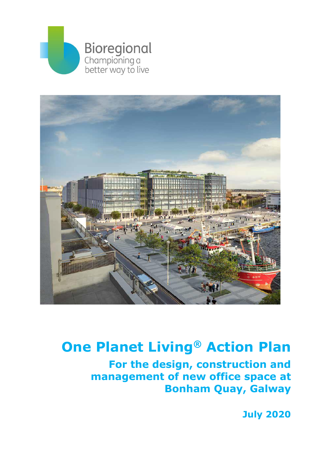



# **One Planet Living® Action Plan**

**For the design, construction and management of new office space at Bonham Quay, Galway**

**July 2020**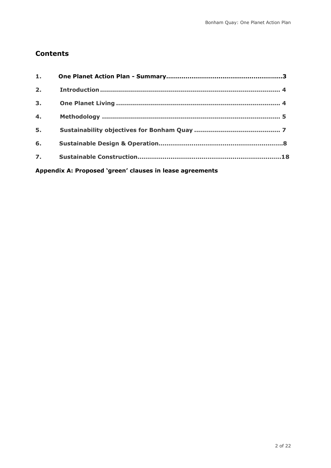# **Contents**

| 1.                                                       |  |  |
|----------------------------------------------------------|--|--|
| 2.                                                       |  |  |
| 3 <sub>1</sub>                                           |  |  |
| 4.                                                       |  |  |
| 5.                                                       |  |  |
| 6.                                                       |  |  |
| $\overline{z}$ .                                         |  |  |
| Appendix A: Proposed 'green' clauses in lease agreements |  |  |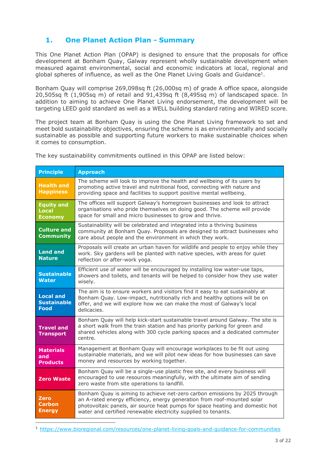## **1. One Planet Action Plan - Summary**

This One Planet Action Plan (OPAP) is designed to ensure that the proposals for office development at Bonham Quay, Galway represent wholly sustainable development when measured against environmental, social and economic indicators at local, regional and global spheres of influence, as well as the One Planet Living Goals and Guidance<sup>1</sup>.

Bonham Quay will comprise 269,098sq ft (26,000sq m) of grade A office space, alongside 20,505sq ft (1,905sq m) of retail and 91,439sq ft (8,495sq m) of landscaped space. In addition to aiming to achieve One Planet Living endorsement, the development will be targeting LEED gold standard as well as a WELL building standard rating and WIRED score.

The project team at Bonham Quay is using the One Planet Living framework to set and meet bold sustainability objectives, ensuring the scheme is as environmentally and socially sustainable as possible and supporting future workers to make sustainable choices when it comes to consumption.

The key sustainability commitments outlined in this OPAP are listed below:

| <b>Principle</b>                                      | <b>Approach</b>                                                                                                                                                                                                                                                                                          |
|-------------------------------------------------------|----------------------------------------------------------------------------------------------------------------------------------------------------------------------------------------------------------------------------------------------------------------------------------------------------------|
| <b>Health and</b><br><b>Happiness</b>                 | The scheme will look to improve the health and wellbeing of its users by<br>promoting active travel and nutritional food, connecting with nature and<br>providing space and facilities to support positive mental wellbeing.                                                                             |
| <b>Equity and</b><br><b>Local</b><br><b>Economy</b>   | The offices will support Galway's homegrown businesses and look to attract<br>organisations who pride themselves on doing good. The scheme will provide<br>space for small and micro businesses to grow and thrive.                                                                                      |
| <b>Culture and</b><br><b>Community</b>                | Sustainability will be celebrated and integrated into a thriving business<br>community at Bonham Quay. Proposals are designed to attract businesses who<br>care about people and the environment in which they work.                                                                                     |
| <b>Land and</b><br><b>Nature</b>                      | Proposals will create an urban haven for wildlife and people to enjoy while they<br>work. Sky gardens will be planted with native species, with areas for quiet<br>reflection or after-work yoga.                                                                                                        |
| <b>Sustainable</b><br><b>Water</b>                    | Efficient use of water will be encouraged by installing low water-use taps,<br>showers and toilets, and tenants will be helped to consider how they use water<br>wisely.                                                                                                                                 |
| <b>Local and</b><br><b>Sustainable</b><br><b>Food</b> | The aim is to ensure workers and visitors find it easy to eat sustainably at<br>Bonham Quay. Low-impact, nutritionally rich and healthy options will be on<br>offer, and we will explore how we can make the most of Galway's local<br>delicacies.                                                       |
| <b>Travel and</b><br><b>Transport</b>                 | Bonham Quay will help kick-start sustainable travel around Galway. The site is<br>a short walk from the train station and has priority parking for green and<br>shared vehicles along with 300 cycle parking spaces and a dedicated commuter<br>centre.                                                  |
| <b>Materials</b><br>and<br><b>Products</b>            | Management at Bonham Quay will encourage workplaces to be fit out using<br>sustainable materials, and we will pilot new ideas for how businesses can save<br>money and resources by working together.                                                                                                    |
| <b>Zero Waste</b>                                     | Bonham Quay will be a single-use plastic free site, and every business will<br>encouraged to use resources meaningfully, with the ultimate aim of sending<br>zero waste from site operations to landfill.                                                                                                |
| Zero<br>Carbon<br><b>Energy</b>                       | Bonham Quay is aiming to achieve net-zero carbon emissions by 2025 through<br>an A-rated energy efficiency, energy generation from roof-mounted solar<br>photovoltaic panels, air source heat pumps for space heating and domestic hot<br>water and certified renewable electricity supplied to tenants. |

<sup>1</sup> <https://www.bioregional.com/resources/one-planet-living-goals-and-guidance-for-communities>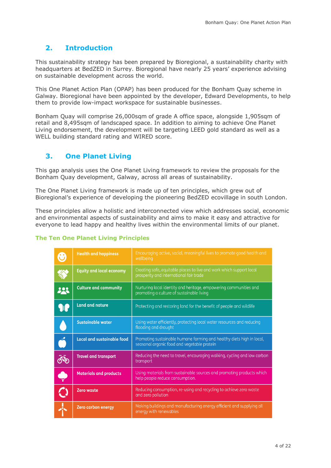# <span id="page-3-0"></span>**2. Introduction**

This sustainability strategy has been prepared by Bioregional, a sustainability charity with headquarters at BedZED in Surrey. Bioregional have nearly 25 years' experience advising on sustainable development across the world.

This One Planet Action Plan (OPAP) has been produced for the Bonham Quay scheme in Galway. Bioregional have been appointed by the developer, Edward Developments, to help them to provide low-impact workspace for sustainable businesses.

Bonham Quay will comprise 26,000sqm of grade A office space, alongside 1,905sqm of retail and 8,495sqm of landscaped space. In addition to aiming to achieve One Planet Living endorsement, the development will be targeting LEED gold standard as well as a WELL building standard rating and WIRED score.

# <span id="page-3-1"></span>**3. One Planet Living**

This gap analysis uses the One Planet Living framework to review the proposals for the Bonham Quay development, Galway, across all areas of sustainability.

The One Planet Living framework is made up of ten principles, which grew out of Bioregional's experience of developing the pioneering BedZED ecovillage in south London.

These principles allow a holistic and interconnected view which addresses social, economic and environmental aspects of sustainability and aims to make it easy and attractive for everyone to lead happy and healthy lives within the environmental limits of our planet.

#### **The Ten One Planet Living Principles**

| ❸          | <b>Health and happiness</b>       | Encouraging active, social, meaningful lives to promote good health and<br>wellbeing                                 |
|------------|-----------------------------------|----------------------------------------------------------------------------------------------------------------------|
| ळ<br>ळ     | <b>Equity and local economy</b>   | Creating safe, equitable places to live and work which support local<br>prosperity and international fair trade      |
| <b>223</b> | <b>Culture and community</b>      | Nurturing local identity and heritage, empowering communities and<br>promoting a culture of sustainable living       |
| <b>SIP</b> | <b>Land and nature</b>            | Protecting and restoring land for the benefit of people and wildlife                                                 |
|            | <b>Sustainable water</b>          | Using water efficiently, protecting local water resources and reducing<br>flooding and drought                       |
|            | <b>Local and sustainable food</b> | Promoting sustainable humane farming and healthy diets high in local,<br>seasonal organic food and vegetable protein |
|            | <b>Travel and transport</b>       | Reducing the need to travel, encouraging walking, cycling and low carbon<br>transport                                |
|            | <b>Materials and products</b>     | Using materials from sustainable sources and promoting products which<br>help people reduce consumption.             |
|            | <b>Zero waste</b>                 | Reducing consumption, re-using and recycling to achieve zero waste<br>and zero pollution                             |
|            | <b>Zero carbon energy</b>         | Making buildings and manufacturing energy efficient and supplying all<br>energy with renewables                      |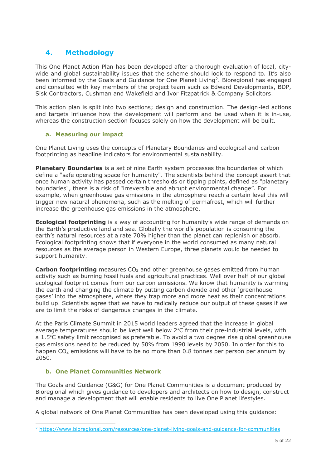### <span id="page-4-0"></span>**4. Methodology**

This One Planet Action Plan has been developed after a thorough evaluation of local, citywide and global sustainability issues that the scheme should look to respond to. It's also been informed by the Goals and Guidance for One Planet Living<sup>2</sup>. Bioregional has engaged and consulted with key members of the project team such as Edward Developments, BDP, Sisk Contractors, Cushman and Wakefield and Ivor Fitzpatrick & Company Solicitors.

This action plan is split into two sections; design and construction. The design-led actions and targets influence how the development will perform and be used when it is in-use, whereas the construction section focuses solely on how the development will be built.

#### **a. Measuring our impact**

One Planet Living uses the concepts of Planetary Boundaries and ecological and carbon footprinting as headline indicators for environmental sustainability.

**Planetary Boundaries** is a set of nine Earth system processes the boundaries of which define a "safe operating space for humanity". The scientists behind the concept assert that once human activity has passed certain thresholds or tipping points, defined as "planetary boundaries", there is a risk of "irreversible and abrupt environmental change". For example, when greenhouse gas emissions in the atmosphere reach a certain level this will trigger new natural phenomena, such as the melting of permafrost, which will further increase the greenhouse gas emissions in the atmosphere.

**Ecological footprinting** is a way of accounting for humanity's wide range of demands on the Earth's productive land and sea. Globally the world's population is consuming the earth's natural resources at a rate 70% higher than the planet can replenish or absorb. Ecological footprinting shows that if everyone in the world consumed as many natural resources as the average person in Western Europe, three planets would be needed to support humanity.

**Carbon footprinting** measures CO<sub>2</sub> and other greenhouse gases emitted from human activity such as burning fossil fuels and agricultural practices. Well over half of our global ecological footprint comes from our carbon emissions. We know that humanity is warming the earth and changing the climate by putting carbon dioxide and other 'greenhouse gases' into the atmosphere, where they trap more and more heat as their concentrations build up. Scientists agree that we have to radically reduce our output of these gases if we are to limit the risks of dangerous changes in the climate.

At the Paris Climate Summit in 2015 world leaders agreed that the increase in global average temperatures should be kept well below 2°C from their pre-industrial levels, with a 1.5°C safety limit recognised as preferable. To avoid a two degree rise global greenhouse gas emissions need to be reduced by 50% from 1990 levels by 2050. In order for this to happen  $CO<sub>2</sub>$  emissions will have to be no more than 0.8 tonnes per person per annum by 2050.

#### **b. One Planet Communities Network**

The Goals and Guidance (G&G) for One Planet Communities is a document produced by Bioregional which gives guidance to developers and architects on how to design, construct and manage a development that will enable residents to live One Planet lifestyles.

A global network of One Planet Communities has been developed using this guidance:

<sup>2</sup> <https://www.bioregional.com/resources/one-planet-living-goals-and-guidance-for-communities>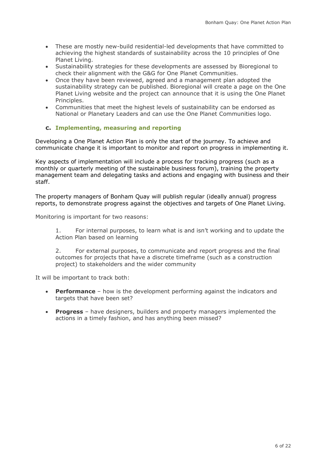- These are mostly new-build residential-led developments that have committed to achieving the highest standards of sustainability across the 10 principles of One Planet Living.
- Sustainability strategies for these developments are assessed by Bioregional to check their alignment with the G&G for One Planet Communities.
- Once they have been reviewed, agreed and a management plan adopted the sustainability strategy can be published. Bioregional will create a page on the One Planet Living website and the project can announce that it is using the One Planet Principles.
- Communities that meet the highest levels of sustainability can be endorsed as National or Planetary Leaders and can use the One Planet Communities logo.

#### **c. Implementing, measuring and reporting**

Developing a One Planet Action Plan is only the start of the journey. To achieve and communicate change it is important to monitor and report on progress in implementing it.

Key aspects of implementation will include a process for tracking progress (such as a monthly or quarterly meeting of the sustainable business forum), training the property management team and delegating tasks and actions and engaging with business and their staff.

The property managers of Bonham Quay will publish regular (ideally annual) progress reports, to demonstrate progress against the objectives and targets of One Planet Living.

Monitoring is important for two reasons:

1. For internal purposes, to learn what is and isn't working and to update the Action Plan based on learning

2. For external purposes, to communicate and report progress and the final outcomes for projects that have a discrete timeframe (such as a construction project) to stakeholders and the wider community

It will be important to track both:

- **Performance** how is the development performing against the indicators and targets that have been set?
- **Progress**  have designers, builders and property managers implemented the actions in a timely fashion, and has anything been missed?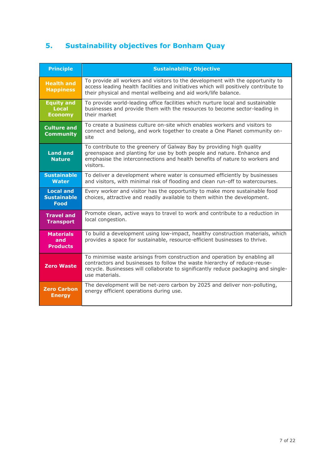# <span id="page-6-0"></span>**5. Sustainability objectives for Bonham Quay**

| <b>Principle</b>                                      | <b>Sustainability Objective</b>                                                                                                                                                                                                                                 |
|-------------------------------------------------------|-----------------------------------------------------------------------------------------------------------------------------------------------------------------------------------------------------------------------------------------------------------------|
| <b>Health and</b><br><b>Happiness</b>                 | To provide all workers and visitors to the development with the opportunity to<br>access leading health facilities and initiatives which will positively contribute to<br>their physical and mental wellbeing and aid work/life balance.                        |
| <b>Equity and</b><br><b>Local</b><br><b>Economy</b>   | To provide world-leading office facilities which nurture local and sustainable<br>businesses and provide them with the resources to become sector-leading in<br>their market                                                                                    |
| <b>Culture and</b><br><b>Community</b>                | To create a business culture on-site which enables workers and visitors to<br>connect and belong, and work together to create a One Planet community on-<br>site                                                                                                |
| <b>Land and</b><br><b>Nature</b>                      | To contribute to the greenery of Galway Bay by providing high quality<br>greenspace and planting for use by both people and nature. Enhance and<br>emphasise the interconnections and health benefits of nature to workers and<br>visitors.                     |
| <b>Sustainable</b><br><b>Water</b>                    | To deliver a development where water is consumed efficiently by businesses<br>and visitors, with minimal risk of flooding and clean run-off to watercourses.                                                                                                    |
| <b>Local and</b><br><b>Sustainable</b><br><b>Food</b> | Every worker and visitor has the opportunity to make more sustainable food<br>choices, attractive and readily available to them within the development.                                                                                                         |
| <b>Travel and</b><br><b>Transport</b>                 | Promote clean, active ways to travel to work and contribute to a reduction in<br>local congestion.                                                                                                                                                              |
| <b>Materials</b><br>and<br><b>Products</b>            | To build a development using low-impact, healthy construction materials, which<br>provides a space for sustainable, resource-efficient businesses to thrive.                                                                                                    |
| <b>Zero Waste</b>                                     | To minimise waste arisings from construction and operation by enabling all<br>contractors and businesses to follow the waste hierarchy of reduce-reuse-<br>recycle. Businesses will collaborate to significantly reduce packaging and single-<br>use materials. |
| <b>Zero Carbon</b><br><b>Energy</b>                   | The development will be net-zero carbon by 2025 and deliver non-polluting,<br>energy efficient operations during use.                                                                                                                                           |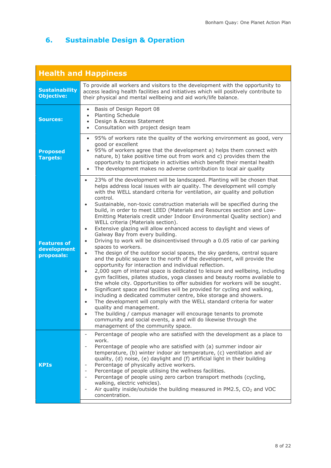# **6. Sustainable Design & Operation**

|                                                 | <b>Health and Happiness</b>                                                                                                                                                                                                                                                                                                                                                                                                                                                                                                                                                                                                                                                                                                                                                                                                                                                                                                                                                                                                                                                                                                                                                                                                                                                                                                                                                                                                                                                                                                                                                                                                                                                                                                                         |
|-------------------------------------------------|-----------------------------------------------------------------------------------------------------------------------------------------------------------------------------------------------------------------------------------------------------------------------------------------------------------------------------------------------------------------------------------------------------------------------------------------------------------------------------------------------------------------------------------------------------------------------------------------------------------------------------------------------------------------------------------------------------------------------------------------------------------------------------------------------------------------------------------------------------------------------------------------------------------------------------------------------------------------------------------------------------------------------------------------------------------------------------------------------------------------------------------------------------------------------------------------------------------------------------------------------------------------------------------------------------------------------------------------------------------------------------------------------------------------------------------------------------------------------------------------------------------------------------------------------------------------------------------------------------------------------------------------------------------------------------------------------------------------------------------------------------|
| <b>Sustainability</b><br><b>Objective:</b>      | To provide all workers and visitors to the development with the opportunity to<br>access leading health facilities and initiatives which will positively contribute to<br>their physical and mental wellbeing and aid work/life balance.                                                                                                                                                                                                                                                                                                                                                                                                                                                                                                                                                                                                                                                                                                                                                                                                                                                                                                                                                                                                                                                                                                                                                                                                                                                                                                                                                                                                                                                                                                            |
| <b>Sources:</b>                                 | Basis of Design Report 08<br>$\bullet$<br>Planting Schedule<br>$\bullet$<br>Design & Access Statement<br>$\bullet$<br>Consultation with project design team<br>$\bullet$                                                                                                                                                                                                                                                                                                                                                                                                                                                                                                                                                                                                                                                                                                                                                                                                                                                                                                                                                                                                                                                                                                                                                                                                                                                                                                                                                                                                                                                                                                                                                                            |
| <b>Proposed</b><br><b>Targets:</b>              | 95% of workers rate the quality of the working environment as good, very<br>$\bullet$<br>good or excellent<br>95% of workers agree that the development a) helps them connect with<br>nature, b) take positive time out from work and c) provides them the<br>opportunity to participate in activities which benefit their mental health<br>The development makes no adverse contribution to local air quality<br>$\bullet$                                                                                                                                                                                                                                                                                                                                                                                                                                                                                                                                                                                                                                                                                                                                                                                                                                                                                                                                                                                                                                                                                                                                                                                                                                                                                                                         |
| <b>Features of</b><br>development<br>proposals: | 23% of the development will be landscaped. Planting will be chosen that<br>$\bullet$<br>helps address local issues with air quality. The development will comply<br>with the WELL standard criteria for ventilation, air quality and pollution<br>control.<br>Sustainable, non-toxic construction materials will be specified during the<br>$\bullet$<br>build, in order to meet LEED (Materials and Resources section and Low-<br>Emitting Materials credit under Indoor Environmental Quality section) and<br>WELL criteria (Materials section).<br>Extensive glazing will allow enhanced access to daylight and views of<br>$\bullet$<br>Galway Bay from every building.<br>Driving to work will be disincentivised through a 0.05 ratio of car parking<br>$\bullet$<br>spaces to workers.<br>The design of the outdoor social spaces, the sky gardens, central square<br>$\bullet$<br>and the public square to the north of the development, will provide the<br>opportunity for interaction and individual reflection.<br>2,000 sqm of internal space is dedicated to leisure and wellbeing, including<br>$\bullet$<br>gym facilities, pilates studios, yoga classes and beauty rooms available to<br>the whole city. Opportunities to offer subsidies for workers will be sought.<br>Significant space and facilities will be provided for cycling and walking,<br>$\bullet$<br>including a dedicated commuter centre, bike storage and showers.<br>The development will comply with the WELL standard criteria for water<br>$\bullet$<br>quality and management.<br>The building / campus manager will encourage tenants to promote<br>community and social events, a and will do likewise through the<br>management of the community space. |
| <b>KPIs</b>                                     | Percentage of people who are satisfied with the development as a place to<br>$\overline{\phantom{a}}$<br>work.<br>Percentage of people who are satisfied with (a) summer indoor air<br>$\overline{\phantom{a}}$<br>temperature, (b) winter indoor air temperature, (c) ventilation and air<br>quality, (d) noise, (e) daylight and (f) artificial light in their building<br>Percentage of physically active workers.<br>$\overline{\phantom{a}}$<br>Percentage of people utilising the wellness facilities.<br>$\overline{\phantom{a}}$<br>Percentage of people using zero carbon transport methods (cycling,<br>$\overline{\phantom{a}}$<br>walking, electric vehicles).<br>Air quality inside/outside the building measured in PM2.5, CO <sub>2</sub> and VOC<br>concentration.                                                                                                                                                                                                                                                                                                                                                                                                                                                                                                                                                                                                                                                                                                                                                                                                                                                                                                                                                                  |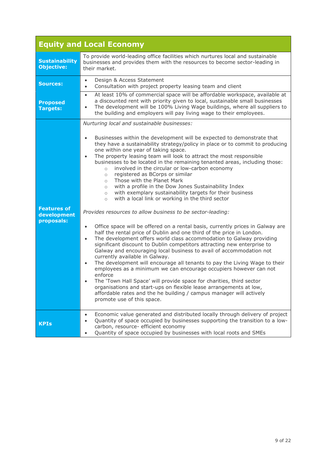|                                                 | <b>Equity and Local Economy</b>                                                                                                                                                                                                                                                                                                                                                                                                                                                                                                                                                                                                                                                                                                                                                                                                                                                          |
|-------------------------------------------------|------------------------------------------------------------------------------------------------------------------------------------------------------------------------------------------------------------------------------------------------------------------------------------------------------------------------------------------------------------------------------------------------------------------------------------------------------------------------------------------------------------------------------------------------------------------------------------------------------------------------------------------------------------------------------------------------------------------------------------------------------------------------------------------------------------------------------------------------------------------------------------------|
| <b>Sustainability</b><br><b>Objective:</b>      | To provide world-leading office facilities which nurtures local and sustainable<br>businesses and provides them with the resources to become sector-leading in<br>their market.                                                                                                                                                                                                                                                                                                                                                                                                                                                                                                                                                                                                                                                                                                          |
| <b>Sources:</b>                                 | Design & Access Statement<br>$\bullet$<br>Consultation with project property leasing team and client<br>$\bullet$                                                                                                                                                                                                                                                                                                                                                                                                                                                                                                                                                                                                                                                                                                                                                                        |
| <b>Proposed</b><br>Targets:                     | At least 10% of commercial space will be affordable workspace, available at<br>$\bullet$<br>a discounted rent with priority given to local, sustainable small businesses<br>The development will be 100% Living Wage buildings, where all suppliers to<br>$\bullet$<br>the building and employers will pay living wage to their employees.                                                                                                                                                                                                                                                                                                                                                                                                                                                                                                                                               |
|                                                 | Nurturing local and sustainable businesses:                                                                                                                                                                                                                                                                                                                                                                                                                                                                                                                                                                                                                                                                                                                                                                                                                                              |
|                                                 | Businesses within the development will be expected to demonstrate that<br>$\bullet$<br>they have a sustainability strategy/policy in place or to commit to producing<br>one within one year of taking space.<br>The property leasing team will look to attract the most responsible<br>$\bullet$<br>businesses to be located in the remaining tenanted areas, including those:<br>involved in the circular or low-carbon economy<br>$\circ$<br>registered as BCorps or similar<br>$\circ$<br>Those with the Planet Mark<br>$\circ$<br>with a profile in the Dow Jones Sustainability Index<br>$\circ$<br>with exemplary sustainability targets for their business<br>$\circ$<br>with a local link or working in the third sector<br>$\circ$                                                                                                                                              |
| <b>Features of</b><br>development<br>proposals: | Provides resources to allow business to be sector-leading:                                                                                                                                                                                                                                                                                                                                                                                                                                                                                                                                                                                                                                                                                                                                                                                                                               |
|                                                 | Office space will be offered on a rental basis, currently prices in Galway are<br>$\bullet$<br>half the rental price of Dublin and one third of the price in London.<br>The development offers world class accommodation to Galway providing<br>$\bullet$<br>significant discount to Dublin competitors attracting new enterprise to<br>Galway and encouraging local business to avail of accommodation not<br>currently available in Galway.<br>The development will encourage all tenants to pay the Living Wage to their<br>$\bullet$<br>employees as a minimum we can encourage occupiers however can not<br>enforce<br>The 'Town Hall Space' will provide space for charities, third sector<br>$\bullet$<br>organisations and start-ups on flexible lease arrangements at low,<br>affordable rates and the he building / campus manager will actively<br>promote use of this space. |
| <b>KPIs</b>                                     | Economic value generated and distributed locally through delivery of project<br>$\bullet$<br>Quantity of space occupied by businesses supporting the transition to a low-<br>$\bullet$<br>carbon, resource- efficient economy<br>Quantity of space occupied by businesses with local roots and SMEs<br>$\bullet$                                                                                                                                                                                                                                                                                                                                                                                                                                                                                                                                                                         |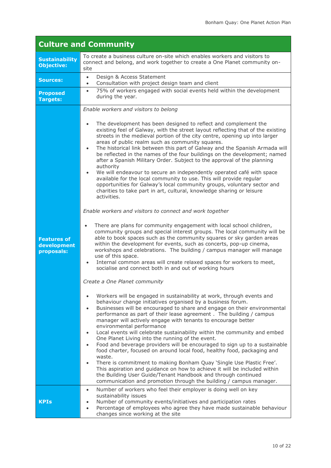|                                                 | <b>Culture and Community</b>                                                                                                                                                                                                                                                                                                                                                                                                                                                                                                                                                                                                                                                                                                                                                                                                                                                                                                                                                                                                                                                                                                                                                                                                                                                                                                                                                                                                                                                                                                                                                                                                                                                                                                                                                                                                                                                                                                                                                                                                                                                                                                                                                                                                                                                                                                                                                                                                                                                                                                                                             |
|-------------------------------------------------|--------------------------------------------------------------------------------------------------------------------------------------------------------------------------------------------------------------------------------------------------------------------------------------------------------------------------------------------------------------------------------------------------------------------------------------------------------------------------------------------------------------------------------------------------------------------------------------------------------------------------------------------------------------------------------------------------------------------------------------------------------------------------------------------------------------------------------------------------------------------------------------------------------------------------------------------------------------------------------------------------------------------------------------------------------------------------------------------------------------------------------------------------------------------------------------------------------------------------------------------------------------------------------------------------------------------------------------------------------------------------------------------------------------------------------------------------------------------------------------------------------------------------------------------------------------------------------------------------------------------------------------------------------------------------------------------------------------------------------------------------------------------------------------------------------------------------------------------------------------------------------------------------------------------------------------------------------------------------------------------------------------------------------------------------------------------------------------------------------------------------------------------------------------------------------------------------------------------------------------------------------------------------------------------------------------------------------------------------------------------------------------------------------------------------------------------------------------------------------------------------------------------------------------------------------------------------|
| <b>Sustainability</b><br><b>Objective:</b>      | To create a business culture on-site which enables workers and visitors to<br>connect and belong, and work together to create a One Planet community on-<br>site                                                                                                                                                                                                                                                                                                                                                                                                                                                                                                                                                                                                                                                                                                                                                                                                                                                                                                                                                                                                                                                                                                                                                                                                                                                                                                                                                                                                                                                                                                                                                                                                                                                                                                                                                                                                                                                                                                                                                                                                                                                                                                                                                                                                                                                                                                                                                                                                         |
| <b>Sources:</b>                                 | Design & Access Statement<br>$\bullet$<br>Consultation with project design team and client<br>$\bullet$                                                                                                                                                                                                                                                                                                                                                                                                                                                                                                                                                                                                                                                                                                                                                                                                                                                                                                                                                                                                                                                                                                                                                                                                                                                                                                                                                                                                                                                                                                                                                                                                                                                                                                                                                                                                                                                                                                                                                                                                                                                                                                                                                                                                                                                                                                                                                                                                                                                                  |
| <b>Proposed</b><br><b>Targets:</b>              | 75% of workers engaged with social events held within the development<br>$\bullet$<br>during the year.                                                                                                                                                                                                                                                                                                                                                                                                                                                                                                                                                                                                                                                                                                                                                                                                                                                                                                                                                                                                                                                                                                                                                                                                                                                                                                                                                                                                                                                                                                                                                                                                                                                                                                                                                                                                                                                                                                                                                                                                                                                                                                                                                                                                                                                                                                                                                                                                                                                                   |
| <b>Features of</b><br>development<br>proposals: | Enable workers and visitors to belong<br>The development has been designed to reflect and complement the<br>existing feel of Galway, with the street layout reflecting that of the existing<br>streets in the medieval portion of the city centre, opening up into larger<br>areas of public realm such as community squares.<br>The historical link between this part of Galway and the Spanish Armada will<br>$\bullet$<br>be reflected in the names of the four buildings on the development; named<br>after a Spanish Military Order. Subject to the approval of the planning<br>authority<br>We will endeavour to secure an independently operated café with space<br>available for the local community to use. This will provide regular<br>opportunities for Galway's local community groups, voluntary sector and<br>charities to take part in art, cultural, knowledge sharing or leisure<br>activities.<br>Enable workers and visitors to connect and work together<br>There are plans for community engagement with local school children,<br>community groups and special interest groups. The local community will be<br>able to book spaces such as the community squares or sky garden areas<br>within the development for events, such as concerts, pop-up cinema,<br>workshops and celebrations. The building / campus manager will manage<br>use of this space.<br>Internal common areas will create relaxed spaces for workers to meet,<br>socialise and connect both in and out of working hours<br>Create a One Planet community<br>Workers will be engaged in sustainability at work, through events and<br>behaviour change initiatives organised by a business forum.<br>Businesses will be encouraged to share and engage on their environmental<br>$\bullet$<br>performance as part of their lease agreement. The building / campus<br>manager will actively engage with tenants to encourage better<br>environmental performance<br>Local events will celebrate sustainability within the community and embed<br>One Planet Living into the running of the event.<br>Food and beverage providers will be encouraged to sign up to a sustainable<br>$\bullet$<br>food charter, focused on around local food, healthy food, packaging and<br>waste.<br>There is commitment to making Bonham Quay 'Single Use Plastic Free'.<br>This aspiration and guidance on how to achieve it will be included within<br>the Building User Guide/Tenant Handbook and through continued<br>communication and promotion through the building / campus manager. |
| <b>KPIs</b>                                     | Number of workers who feel their employer is doing well on key<br>$\bullet$<br>sustainability issues<br>Number of community events/initiatives and participation rates<br>Percentage of employees who agree they have made sustainable behaviour<br>$\bullet$<br>changes since working at the site                                                                                                                                                                                                                                                                                                                                                                                                                                                                                                                                                                                                                                                                                                                                                                                                                                                                                                                                                                                                                                                                                                                                                                                                                                                                                                                                                                                                                                                                                                                                                                                                                                                                                                                                                                                                                                                                                                                                                                                                                                                                                                                                                                                                                                                                       |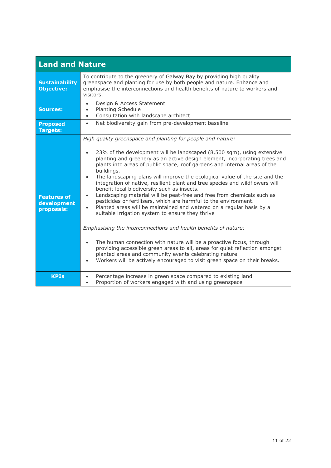| <b>Land and Nature</b>                          |                                                                                                                                                                                                                                                                                                                                                                                                                                                                                                                                                                                                                                                                                                                                                                                                                                                                                                                  |
|-------------------------------------------------|------------------------------------------------------------------------------------------------------------------------------------------------------------------------------------------------------------------------------------------------------------------------------------------------------------------------------------------------------------------------------------------------------------------------------------------------------------------------------------------------------------------------------------------------------------------------------------------------------------------------------------------------------------------------------------------------------------------------------------------------------------------------------------------------------------------------------------------------------------------------------------------------------------------|
| <b>Sustainability</b><br><b>Objective:</b>      | To contribute to the greenery of Galway Bay by providing high quality<br>greenspace and planting for use by both people and nature. Enhance and<br>emphasise the interconnections and health benefits of nature to workers and<br>visitors.                                                                                                                                                                                                                                                                                                                                                                                                                                                                                                                                                                                                                                                                      |
| <b>Sources:</b>                                 | Design & Access Statement<br>$\bullet$<br>Planting Schedule<br>Consultation with landscape architect<br>$\bullet$                                                                                                                                                                                                                                                                                                                                                                                                                                                                                                                                                                                                                                                                                                                                                                                                |
| <b>Proposed</b><br><b>Targets:</b>              | Net biodiversity gain from pre-development baseline<br>$\bullet$                                                                                                                                                                                                                                                                                                                                                                                                                                                                                                                                                                                                                                                                                                                                                                                                                                                 |
| <b>Features of</b><br>development<br>proposals: | High quality greenspace and planting for people and nature:<br>23% of the development will be landscaped (8,500 sqm), using extensive<br>planting and greenery as an active design element, incorporating trees and<br>plants into areas of public space, roof gardens and internal areas of the<br>buildings.<br>The landscaping plans will improve the ecological value of the site and the<br>$\bullet$<br>integration of native, resilient plant and tree species and wildflowers will<br>benefit local biodiversity such as insects.<br>Landscaping material will be peat-free and free from chemicals such as<br>$\bullet$<br>pesticides or fertilisers, which are harmful to the environment.<br>Planted areas will be maintained and watered on a regular basis by a<br>$\bullet$<br>suitable irrigation system to ensure they thrive<br>Emphasising the interconnections and health benefits of nature: |
|                                                 | The human connection with nature will be a proactive focus, through<br>providing accessible green areas to all, areas for quiet reflection amongst<br>planted areas and community events celebrating nature.<br>Workers will be actively encouraged to visit green space on their breaks.<br>$\bullet$                                                                                                                                                                                                                                                                                                                                                                                                                                                                                                                                                                                                           |
| <b>KPIs</b>                                     | Percentage increase in green space compared to existing land<br>$\bullet$<br>Proportion of workers engaged with and using greenspace<br>$\bullet$                                                                                                                                                                                                                                                                                                                                                                                                                                                                                                                                                                                                                                                                                                                                                                |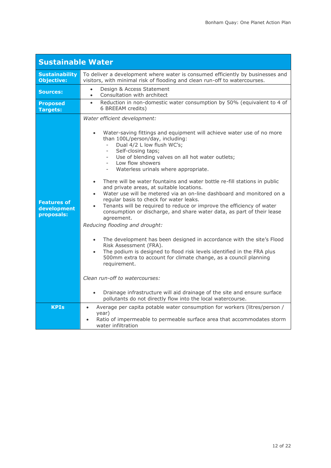٦

| <b>Sustainable Water</b>                        |                                                                                                                                                                                                                                                                                                                                                                                                                                                                                                                                                                                                                                                                                                                                                                                                                                                                                                                                                                                                                                                                                                                                                                                                                                                                                                           |
|-------------------------------------------------|-----------------------------------------------------------------------------------------------------------------------------------------------------------------------------------------------------------------------------------------------------------------------------------------------------------------------------------------------------------------------------------------------------------------------------------------------------------------------------------------------------------------------------------------------------------------------------------------------------------------------------------------------------------------------------------------------------------------------------------------------------------------------------------------------------------------------------------------------------------------------------------------------------------------------------------------------------------------------------------------------------------------------------------------------------------------------------------------------------------------------------------------------------------------------------------------------------------------------------------------------------------------------------------------------------------|
| <b>Sustainability</b><br><b>Objective:</b>      | To deliver a development where water is consumed efficiently by businesses and<br>visitors, with minimal risk of flooding and clean run-off to watercourses.                                                                                                                                                                                                                                                                                                                                                                                                                                                                                                                                                                                                                                                                                                                                                                                                                                                                                                                                                                                                                                                                                                                                              |
| <b>Sources:</b>                                 | Design & Access Statement<br>$\bullet$<br>Consultation with architect<br>$\bullet$                                                                                                                                                                                                                                                                                                                                                                                                                                                                                                                                                                                                                                                                                                                                                                                                                                                                                                                                                                                                                                                                                                                                                                                                                        |
| <b>Proposed</b><br><b>Targets:</b>              | Reduction in non-domestic water consumption by 50% (equivalent to 4 of<br>$\bullet$<br>6 BREEAM credits)                                                                                                                                                                                                                                                                                                                                                                                                                                                                                                                                                                                                                                                                                                                                                                                                                                                                                                                                                                                                                                                                                                                                                                                                  |
| <b>Features of</b><br>development<br>proposals: | Water efficient development:<br>Water-saving fittings and equipment will achieve water use of no more<br>than 100L/person/day, including:<br>Dual 4/2 L low flush WC's;<br>Self-closing taps;<br>$\overline{\phantom{a}}$<br>Use of blending valves on all hot water outlets;<br>Low flow showers<br>Waterless urinals where appropriate.<br>There will be water fountains and water bottle re-fill stations in public<br>and private areas, at suitable locations.<br>Water use will be metered via an on-line dashboard and monitored on a<br>$\bullet$<br>regular basis to check for water leaks.<br>Tenants will be required to reduce or improve the efficiency of water<br>$\bullet$<br>consumption or discharge, and share water data, as part of their lease<br>agreement.<br>Reducing flooding and drought:<br>The development has been designed in accordance with the site's Flood<br>$\bullet$<br>Risk Assessment (FRA).<br>The podium is designed to flood risk levels identified in the FRA plus<br>$\bullet$<br>500mm extra to account for climate change, as a council planning<br>requirement.<br>Clean run-off to watercourses:<br>Drainage infrastructure will aid drainage of the site and ensure surface<br>$\bullet$<br>pollutants do not directly flow into the local watercourse. |
| <b>KPIs</b>                                     | Average per capita potable water consumption for workers (litres/person /<br>$\bullet$<br>year)<br>Ratio of impermeable to permeable surface area that accommodates storm<br>water infiltration                                                                                                                                                                                                                                                                                                                                                                                                                                                                                                                                                                                                                                                                                                                                                                                                                                                                                                                                                                                                                                                                                                           |

Ī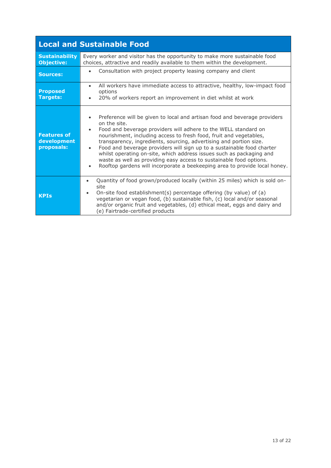|                                                 | <b>Local and Sustainable Food</b>                                                                                                                                                                                                                                                                                                                                                                                                                                                                                                                                                                                                         |
|-------------------------------------------------|-------------------------------------------------------------------------------------------------------------------------------------------------------------------------------------------------------------------------------------------------------------------------------------------------------------------------------------------------------------------------------------------------------------------------------------------------------------------------------------------------------------------------------------------------------------------------------------------------------------------------------------------|
| <b>Sustainability</b><br><b>Objective:</b>      | Every worker and visitor has the opportunity to make more sustainable food<br>choices, attractive and readily available to them within the development.                                                                                                                                                                                                                                                                                                                                                                                                                                                                                   |
| <b>Sources:</b>                                 | Consultation with project property leasing company and client<br>$\bullet$                                                                                                                                                                                                                                                                                                                                                                                                                                                                                                                                                                |
| <b>Proposed</b><br>Targets:                     | All workers have immediate access to attractive, healthy, low-impact food<br>$\bullet$<br>options<br>20% of workers report an improvement in diet whilst at work                                                                                                                                                                                                                                                                                                                                                                                                                                                                          |
| <b>Features of</b><br>development<br>proposals: | Preference will be given to local and artisan food and beverage providers<br>$\bullet$<br>on the site.<br>Food and beverage providers will adhere to the WELL standard on<br>nourishment, including access to fresh food, fruit and vegetables,<br>transparency, ingredients, sourcing, advertising and portion size.<br>Food and beverage providers will sign up to a sustainable food charter<br>$\bullet$<br>whilst operating on-site, which address issues such as packaging and<br>waste as well as providing easy access to sustainable food options.<br>Rooftop gardens will incorporate a beekeeping area to provide local honey. |
| <b>KPIs</b>                                     | Quantity of food grown/produced locally (within 25 miles) which is sold on-<br>$\bullet$<br>site<br>On-site food establishment(s) percentage offering (by value) of (a)<br>vegetarian or vegan food, (b) sustainable fish, (c) local and/or seasonal<br>and/or organic fruit and vegetables, (d) ethical meat, eggs and dairy and<br>(e) Fairtrade-certified products                                                                                                                                                                                                                                                                     |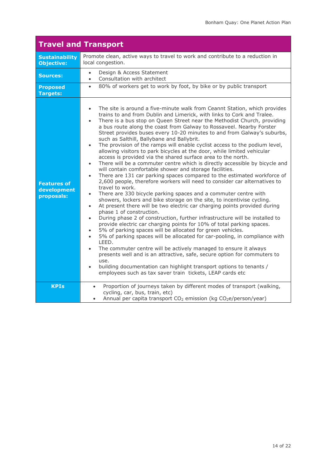| <b>Travel and Transport</b>                     |                                                                                                                                                                                                                                                                                                                                                                                                                                                                                                                                                                                                                                                                                                                                                                                                                                                                                                                                                                                                                                                                                                                                                                                                                                                                                                                                                                                                                                                                                                                                                                                                                                                                                                                                                                                                                                                                                                                                                                                              |
|-------------------------------------------------|----------------------------------------------------------------------------------------------------------------------------------------------------------------------------------------------------------------------------------------------------------------------------------------------------------------------------------------------------------------------------------------------------------------------------------------------------------------------------------------------------------------------------------------------------------------------------------------------------------------------------------------------------------------------------------------------------------------------------------------------------------------------------------------------------------------------------------------------------------------------------------------------------------------------------------------------------------------------------------------------------------------------------------------------------------------------------------------------------------------------------------------------------------------------------------------------------------------------------------------------------------------------------------------------------------------------------------------------------------------------------------------------------------------------------------------------------------------------------------------------------------------------------------------------------------------------------------------------------------------------------------------------------------------------------------------------------------------------------------------------------------------------------------------------------------------------------------------------------------------------------------------------------------------------------------------------------------------------------------------------|
| <b>Sustainability</b><br><b>Objective:</b>      | Promote clean, active ways to travel to work and contribute to a reduction in<br>local congestion.                                                                                                                                                                                                                                                                                                                                                                                                                                                                                                                                                                                                                                                                                                                                                                                                                                                                                                                                                                                                                                                                                                                                                                                                                                                                                                                                                                                                                                                                                                                                                                                                                                                                                                                                                                                                                                                                                           |
| <b>Sources:</b>                                 | Design & Access Statement<br>$\bullet$<br>Consultation with architect<br>$\bullet$                                                                                                                                                                                                                                                                                                                                                                                                                                                                                                                                                                                                                                                                                                                                                                                                                                                                                                                                                                                                                                                                                                                                                                                                                                                                                                                                                                                                                                                                                                                                                                                                                                                                                                                                                                                                                                                                                                           |
| <b>Proposed</b><br><b>Targets:</b>              | 80% of workers get to work by foot, by bike or by public transport<br>$\bullet$                                                                                                                                                                                                                                                                                                                                                                                                                                                                                                                                                                                                                                                                                                                                                                                                                                                                                                                                                                                                                                                                                                                                                                                                                                                                                                                                                                                                                                                                                                                                                                                                                                                                                                                                                                                                                                                                                                              |
| <b>Features of</b><br>development<br>proposals: | The site is around a five-minute walk from Ceannt Station, which provides<br>$\bullet$<br>trains to and from Dublin and Limerick, with links to Cork and Tralee.<br>There is a bus stop on Queen Street near the Methodist Church, providing<br>$\bullet$<br>a bus route along the coast from Galway to Rossaveel. Nearby Forster<br>Street provides buses every 10-20 minutes to and from Galway's suburbs,<br>such as Salthill, Ballybane and Ballybrit.<br>The provision of the ramps will enable cyclist access to the podium level,<br>$\bullet$<br>allowing visitors to park bicycles at the door, while limited vehicular<br>access is provided via the shared surface area to the north.<br>There will be a commuter centre which is directly accessible by bicycle and<br>$\bullet$<br>will contain comfortable shower and storage facilities.<br>There are 131 car parking spaces compared to the estimated workforce of<br>$\bullet$<br>2,600 people, therefore workers will need to consider car alternatives to<br>travel to work.<br>There are 330 bicycle parking spaces and a commuter centre with<br>$\bullet$<br>showers, lockers and bike storage on the site, to incentivise cycling.<br>At present there will be two electric car charging points provided during<br>$\bullet$<br>phase 1 of construction.<br>During phase 2 of construction, further infrastructure will be installed to<br>$\bullet$<br>provide electric car charging points for 10% of total parking spaces.<br>5% of parking spaces will be allocated for green vehicles.<br>$\bullet$<br>5% of parking spaces will be allocated for car-pooling, in compliance with<br>$\bullet$<br>LEED.<br>The commuter centre will be actively managed to ensure it always<br>$\bullet$<br>presents well and is an attractive, safe, secure option for commuters to<br>use.<br>building documentation can highlight transport options to tenants /<br>employees such as tax saver train tickets, LEAP cards etc |
| <b>KPIs</b>                                     | Proportion of journeys taken by different modes of transport (walking,<br>$\bullet$<br>cycling, car, bus, train, etc)<br>Annual per capita transport CO <sub>2</sub> emission (kg CO <sub>2</sub> e/person/year)<br>$\bullet$                                                                                                                                                                                                                                                                                                                                                                                                                                                                                                                                                                                                                                                                                                                                                                                                                                                                                                                                                                                                                                                                                                                                                                                                                                                                                                                                                                                                                                                                                                                                                                                                                                                                                                                                                                |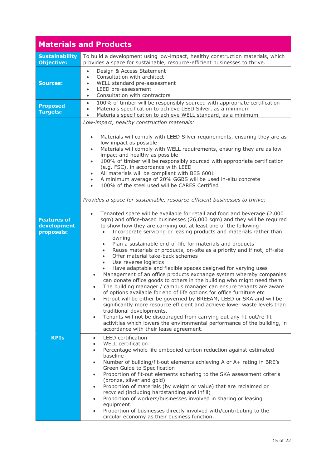|                                                 | <b>Materials and Products</b>                                                                                                                                                                                                                                                                                                                                                                                                                                                                                                                                                                                                                                                                                                                                                                                                                                                                                                                                                                                                                                                                                                                                                                                                                                                                                                                                                                                                                                                                                                                                                                                                                                                                                                                                                                                                                                                                                                                                                                                                                                                              |
|-------------------------------------------------|--------------------------------------------------------------------------------------------------------------------------------------------------------------------------------------------------------------------------------------------------------------------------------------------------------------------------------------------------------------------------------------------------------------------------------------------------------------------------------------------------------------------------------------------------------------------------------------------------------------------------------------------------------------------------------------------------------------------------------------------------------------------------------------------------------------------------------------------------------------------------------------------------------------------------------------------------------------------------------------------------------------------------------------------------------------------------------------------------------------------------------------------------------------------------------------------------------------------------------------------------------------------------------------------------------------------------------------------------------------------------------------------------------------------------------------------------------------------------------------------------------------------------------------------------------------------------------------------------------------------------------------------------------------------------------------------------------------------------------------------------------------------------------------------------------------------------------------------------------------------------------------------------------------------------------------------------------------------------------------------------------------------------------------------------------------------------------------------|
| <b>Sustainability</b><br><b>Objective:</b>      | To build a development using low-impact, healthy construction materials, which<br>provides a space for sustainable, resource-efficient businesses to thrive.                                                                                                                                                                                                                                                                                                                                                                                                                                                                                                                                                                                                                                                                                                                                                                                                                                                                                                                                                                                                                                                                                                                                                                                                                                                                                                                                                                                                                                                                                                                                                                                                                                                                                                                                                                                                                                                                                                                               |
| <b>Sources:</b><br><b>Proposed</b>              | Design & Access Statement<br>$\bullet$<br>Consultation with architect<br>$\bullet$<br>WELL standard pre-assessment<br>$\bullet$<br>LEED pre-assessment<br>$\bullet$<br>Consultation with contractors<br>$\bullet$<br>100% of timber will be responsibly sourced with appropriate certification<br>$\bullet$                                                                                                                                                                                                                                                                                                                                                                                                                                                                                                                                                                                                                                                                                                                                                                                                                                                                                                                                                                                                                                                                                                                                                                                                                                                                                                                                                                                                                                                                                                                                                                                                                                                                                                                                                                                |
| <b>Targets:</b>                                 | Materials specification to achieve LEED Silver, as a minimum<br>$\bullet$<br>Materials specification to achieve WELL standard, as a minimum<br>$\bullet$                                                                                                                                                                                                                                                                                                                                                                                                                                                                                                                                                                                                                                                                                                                                                                                                                                                                                                                                                                                                                                                                                                                                                                                                                                                                                                                                                                                                                                                                                                                                                                                                                                                                                                                                                                                                                                                                                                                                   |
| <b>Features of</b><br>development<br>proposals: | Low-impact, healthy construction materials:<br>Materials will comply with LEED Silver requirements, ensuring they are as<br>$\bullet$<br>low impact as possible<br>Materials will comply with WELL requirements, ensuring they are as low<br>$\bullet$<br>impact and healthy as possible<br>100% of timber will be responsibly sourced with appropriate certification<br>$\bullet$<br>(e.g. FSC), in accordance with LEED<br>All materials will be compliant with BES 6001<br>$\bullet$<br>A minimum average of 20% GGBS will be used in-situ concrete<br>$\bullet$<br>100% of the steel used will be CARES Certified<br>$\bullet$<br>Provides a space for sustainable, resource-efficient businesses to thrive:<br>Tenanted space will be available for retail and food and beverage (2,000<br>sqm) and office-based businesses (26,000 sqm) and they will be required<br>to show how they are carrying out at least one of the following:<br>Incorporate servicing or leasing products and materials rather than<br>$\bullet$<br>owning<br>Plan a sustainable end-of-life for materials and products<br>$\bullet$<br>Reuse materials or products, on-site as a priority and if not, off-site<br>$\bullet$<br>Offer material take-back schemes<br>$\bullet$<br>Use reverse logistics<br>$\bullet$<br>Have adaptable and flexible spaces designed for varying uses<br>Management of an office products exchange system whereby companies<br>$\bullet$<br>can donate office goods to others in the building who might need them.<br>The building manager / campus manager can ensure tenants are aware<br>of options available for end of life options for office furniture etc<br>Fit-out will be either be governed by BREEAM, LEED or SKA and will be<br>$\bullet$<br>significantly more resource efficient and achieve lower waste levels than<br>traditional developments.<br>Tenants will not be discouraged from carrying out any fit-out/re-fit<br>$\bullet$<br>activities which lowers the environmental performance of the building, in<br>accordance with their lease agreement. |
| <b>KPIs</b>                                     | <b>LEED</b> certification<br>$\bullet$<br><b>WELL certification</b><br>$\bullet$<br>Percentage whole life embodied carbon reduction against estimated<br>$\bullet$<br>baseline<br>Number of building/fit-out elements achieving A or A+ rating in BRE's<br>$\bullet$                                                                                                                                                                                                                                                                                                                                                                                                                                                                                                                                                                                                                                                                                                                                                                                                                                                                                                                                                                                                                                                                                                                                                                                                                                                                                                                                                                                                                                                                                                                                                                                                                                                                                                                                                                                                                       |
|                                                 | Green Guide to Specification<br>Proportion of fit-out elements adhering to the SKA assessment criteria<br>$\bullet$<br>(bronze, silver and gold)<br>Proportion of materials (by weight or value) that are reclaimed or<br>$\bullet$<br>recycled (including hardstanding and infill)<br>Proportion of workers/businesses involved in sharing or leasing<br>$\bullet$<br>equipment.<br>Proportion of businesses directly involved with/contributing to the<br>$\bullet$<br>circular economy as their business function.                                                                                                                                                                                                                                                                                                                                                                                                                                                                                                                                                                                                                                                                                                                                                                                                                                                                                                                                                                                                                                                                                                                                                                                                                                                                                                                                                                                                                                                                                                                                                                      |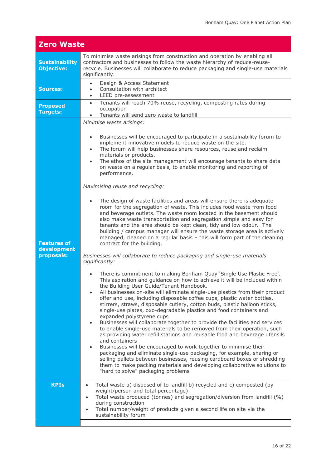| <b>Zero Waste</b>                               |                                                                                                                                                                                                                                                                                                                                                                                                                                                                                                                                                                                                                                                                                                                                                                                                                                                                                                                                                                                                                                                                                                                                                                                                                                                                                                                                                                                                                                                                                                                                                                                                                                                                                                                                                                                                                                                                                                                                                                                                                                                                                                                                                                                                                                                                                                                                                                                         |
|-------------------------------------------------|-----------------------------------------------------------------------------------------------------------------------------------------------------------------------------------------------------------------------------------------------------------------------------------------------------------------------------------------------------------------------------------------------------------------------------------------------------------------------------------------------------------------------------------------------------------------------------------------------------------------------------------------------------------------------------------------------------------------------------------------------------------------------------------------------------------------------------------------------------------------------------------------------------------------------------------------------------------------------------------------------------------------------------------------------------------------------------------------------------------------------------------------------------------------------------------------------------------------------------------------------------------------------------------------------------------------------------------------------------------------------------------------------------------------------------------------------------------------------------------------------------------------------------------------------------------------------------------------------------------------------------------------------------------------------------------------------------------------------------------------------------------------------------------------------------------------------------------------------------------------------------------------------------------------------------------------------------------------------------------------------------------------------------------------------------------------------------------------------------------------------------------------------------------------------------------------------------------------------------------------------------------------------------------------------------------------------------------------------------------------------------------------|
| <b>Sustainability</b><br><b>Objective:</b>      | To minimise waste arisings from construction and operation by enabling all<br>contractors and businesses to follow the waste hierarchy of reduce-reuse-<br>recycle. Businesses will collaborate to reduce packaging and single-use materials<br>significantly.                                                                                                                                                                                                                                                                                                                                                                                                                                                                                                                                                                                                                                                                                                                                                                                                                                                                                                                                                                                                                                                                                                                                                                                                                                                                                                                                                                                                                                                                                                                                                                                                                                                                                                                                                                                                                                                                                                                                                                                                                                                                                                                          |
| <b>Sources:</b>                                 | Design & Access Statement<br>$\bullet$<br>Consultation with architect<br>$\bullet$<br>LEED pre-assessment<br>$\bullet$                                                                                                                                                                                                                                                                                                                                                                                                                                                                                                                                                                                                                                                                                                                                                                                                                                                                                                                                                                                                                                                                                                                                                                                                                                                                                                                                                                                                                                                                                                                                                                                                                                                                                                                                                                                                                                                                                                                                                                                                                                                                                                                                                                                                                                                                  |
| <b>Proposed</b><br>Targets:                     | Tenants will reach 70% reuse, recycling, composting rates during<br>$\bullet$<br>occupation<br>Tenants will send zero waste to landfill<br>$\bullet$                                                                                                                                                                                                                                                                                                                                                                                                                                                                                                                                                                                                                                                                                                                                                                                                                                                                                                                                                                                                                                                                                                                                                                                                                                                                                                                                                                                                                                                                                                                                                                                                                                                                                                                                                                                                                                                                                                                                                                                                                                                                                                                                                                                                                                    |
| <b>Features of</b><br>development<br>proposals: | Minimise waste arisings:<br>Businesses will be encouraged to participate in a sustainability forum to<br>$\bullet$<br>implement innovative models to reduce waste on the site.<br>The forum will help businesses share resources, reuse and reclaim<br>$\bullet$<br>materials or products.<br>The ethos of the site management will encourage tenants to share data<br>$\bullet$<br>on waste on a regular basis, to enable monitoring and reporting of<br>performance.<br>Maximising reuse and recycling:<br>The design of waste facilities and areas will ensure there is adequate<br>$\bullet$<br>room for the segregation of waste. This includes food waste from food<br>and beverage outlets. The waste room located in the basement should<br>also make waste transportation and segregation simple and easy for<br>tenants and the area should be kept clean, tidy and low odour. The<br>building / campus manager will ensure the waste storage area is actively<br>managed, cleaned on a regular basis - this will form part of the cleaning<br>contract for the building.<br>Businesses will collaborate to reduce packaging and single-use materials<br>significantly:<br>There is commitment to making Bonham Quay 'Single Use Plastic Free'.<br>$\bullet$<br>This aspiration and guidance on how to achieve it will be included within<br>the Building User Guide/Tenant Handbook.<br>All businesses on-site will eliminate single-use plastics from their product<br>$\bullet$<br>offer and use, including disposable coffee cups, plastic water bottles,<br>stirrers, straws, disposable cutlery, cotton buds, plastic balloon sticks,<br>single-use plates, oxo-degradable plastics and food containers and<br>expanded polystyrene cups<br>Businesses will collaborate together to provide the facilities and services<br>$\bullet$<br>to enable single-use materials to be removed from their operation, such<br>as providing water refill stations and reusable food and beverage utensils<br>and containers<br>Businesses will be encouraged to work together to minimise their<br>$\bullet$<br>packaging and eliminate single-use packaging, for example, sharing or<br>selling pallets between businesses, reusing cardboard boxes or shredding<br>them to make packing materials and developing collaborative solutions to<br>"hard to solve" packaging problems |
| <b>KPIs</b>                                     | Total waste a) disposed of to landfill b) recycled and c) composted (by<br>$\bullet$<br>weight/person and total percentage)<br>Total waste produced (tonnes) and segregation/diversion from landfill (%)<br>$\bullet$<br>during construction<br>Total number/weight of products given a second life on site via the<br>$\bullet$<br>sustainability forum                                                                                                                                                                                                                                                                                                                                                                                                                                                                                                                                                                                                                                                                                                                                                                                                                                                                                                                                                                                                                                                                                                                                                                                                                                                                                                                                                                                                                                                                                                                                                                                                                                                                                                                                                                                                                                                                                                                                                                                                                                |
|                                                 |                                                                                                                                                                                                                                                                                                                                                                                                                                                                                                                                                                                                                                                                                                                                                                                                                                                                                                                                                                                                                                                                                                                                                                                                                                                                                                                                                                                                                                                                                                                                                                                                                                                                                                                                                                                                                                                                                                                                                                                                                                                                                                                                                                                                                                                                                                                                                                                         |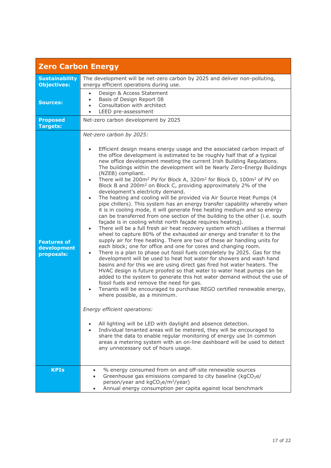| <b>Zero Carbon Energy</b>                       |                                                                                                                                                                                                                                                                                                                                                                                                                                                                                                                                                                                                                                                                                                                                                                                                                                                                                                                                                                                                                                                                                                                                                                                                                                                                                                                                                                                                                                                                                                                                                                                                                                                                                                                                                                                                                                                                                                                                                                                                                                                                                                                                                                                                                                           |
|-------------------------------------------------|-------------------------------------------------------------------------------------------------------------------------------------------------------------------------------------------------------------------------------------------------------------------------------------------------------------------------------------------------------------------------------------------------------------------------------------------------------------------------------------------------------------------------------------------------------------------------------------------------------------------------------------------------------------------------------------------------------------------------------------------------------------------------------------------------------------------------------------------------------------------------------------------------------------------------------------------------------------------------------------------------------------------------------------------------------------------------------------------------------------------------------------------------------------------------------------------------------------------------------------------------------------------------------------------------------------------------------------------------------------------------------------------------------------------------------------------------------------------------------------------------------------------------------------------------------------------------------------------------------------------------------------------------------------------------------------------------------------------------------------------------------------------------------------------------------------------------------------------------------------------------------------------------------------------------------------------------------------------------------------------------------------------------------------------------------------------------------------------------------------------------------------------------------------------------------------------------------------------------------------------|
| <b>Sustainability</b><br><b>Objectives:</b>     | The development will be net-zero carbon by 2025 and deliver non-polluting,<br>energy efficient operations during use.                                                                                                                                                                                                                                                                                                                                                                                                                                                                                                                                                                                                                                                                                                                                                                                                                                                                                                                                                                                                                                                                                                                                                                                                                                                                                                                                                                                                                                                                                                                                                                                                                                                                                                                                                                                                                                                                                                                                                                                                                                                                                                                     |
| <b>Sources:</b>                                 | Design & Access Statement<br>$\bullet$<br>Basis of Design Report 08<br>$\bullet$<br>Consultation with architect<br>$\bullet$<br>LEED pre-assessment<br>$\bullet$                                                                                                                                                                                                                                                                                                                                                                                                                                                                                                                                                                                                                                                                                                                                                                                                                                                                                                                                                                                                                                                                                                                                                                                                                                                                                                                                                                                                                                                                                                                                                                                                                                                                                                                                                                                                                                                                                                                                                                                                                                                                          |
| <b>Proposed</b><br><b>Targets:</b>              | Net-zero carbon development by 2025                                                                                                                                                                                                                                                                                                                                                                                                                                                                                                                                                                                                                                                                                                                                                                                                                                                                                                                                                                                                                                                                                                                                                                                                                                                                                                                                                                                                                                                                                                                                                                                                                                                                                                                                                                                                                                                                                                                                                                                                                                                                                                                                                                                                       |
| <b>Features of</b><br>development<br>proposals: | Net-zero carbon by 2025:<br>Efficient design means energy usage and the associated carbon impact of<br>the office development is estimated to be roughly half that of a typical<br>new office development meeting the current Irish Building Regulations.<br>The buildings within the development will be Nearly Zero-Energy Buildings<br>(NZEB) compliant.<br>There will be 200m <sup>2</sup> PV for Block A, 320m <sup>2</sup> for Block D, 100m <sup>2</sup> of PV on<br>Block B and 200m <sup>2</sup> on Block C, providing approximately 2% of the<br>development's electricity demand.<br>The heating and cooling will be provided via Air Source Heat Pumps (4<br>$\bullet$<br>pipe chillers). This system has an energy transfer capability whereby when<br>it is in cooling mode, it will generate free heating medium and so energy<br>can be transferred from one section of the building to the other (i.e. south<br>façade is in cooling whilst north façade requires heating).<br>There will be a full fresh air heat recovery system which utilises a thermal<br>$\bullet$<br>wheel to capture 80% of the exhausted air energy and transfer it to the<br>supply air for free heating. There are two of these air handling units for<br>each block; one for office and one for cores and changing room.<br>There is a plan to phase out fossil fuels completely by 2025. Gas for the<br>development will be used to heat hot water for showers and wash hand<br>basins and for this we are using direct gas fired hot water heaters. The<br>HVAC design is future proofed so that water to water heat pumps can be<br>added to the system to generate this hot water demand without the use of<br>fossil fuels and remove the need for gas.<br>Tenants will be encouraged to purchase REGO certified renewable energy,<br>where possible, as a minimum.<br>Energy efficient operations:<br>All lighting will be LED with daylight and absence detection.<br>Individual tenanted areas will be metered, they will be encouraged to<br>share the data to enable regular monitoring of energy use In common<br>areas a metering system with an on-line dashboard will be used to detect<br>any unnecessary out of hours usage. |
| <b>KPIs</b>                                     | % energy consumed from on and off-site renewable sources<br>$\bullet$<br>Greenhouse gas emissions compared to city baseline (kgCO <sub>2</sub> e/<br>person/year and kgCO <sub>2</sub> e/m <sup>2</sup> /year)<br>Annual energy consumption per capita against local benchmark                                                                                                                                                                                                                                                                                                                                                                                                                                                                                                                                                                                                                                                                                                                                                                                                                                                                                                                                                                                                                                                                                                                                                                                                                                                                                                                                                                                                                                                                                                                                                                                                                                                                                                                                                                                                                                                                                                                                                            |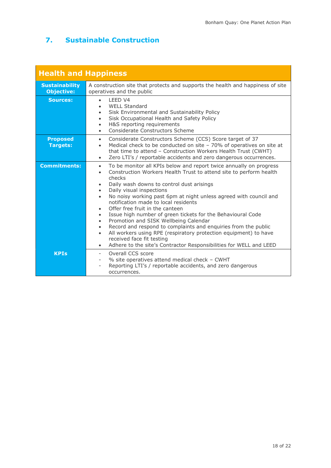# **7. Sustainable Construction**

| <b>Health and Happiness</b>                |                                                                                                                                                                                                                                                                                                                                                                                                                                                                                                                                                                                                                                                                                                                                                                                                                                                                |
|--------------------------------------------|----------------------------------------------------------------------------------------------------------------------------------------------------------------------------------------------------------------------------------------------------------------------------------------------------------------------------------------------------------------------------------------------------------------------------------------------------------------------------------------------------------------------------------------------------------------------------------------------------------------------------------------------------------------------------------------------------------------------------------------------------------------------------------------------------------------------------------------------------------------|
| <b>Sustainability</b><br><b>Objective:</b> | A construction site that protects and supports the health and happiness of site<br>operatives and the public                                                                                                                                                                                                                                                                                                                                                                                                                                                                                                                                                                                                                                                                                                                                                   |
| <b>Sources:</b>                            | LEED V4<br>$\bullet$<br><b>WELL Standard</b><br>Sisk Environmental and Sustainability Policy<br>٠<br>Sisk Occupational Health and Safety Policy<br>H&S reporting requirements<br>$\bullet$<br>Considerate Constructors Scheme<br>$\bullet$                                                                                                                                                                                                                                                                                                                                                                                                                                                                                                                                                                                                                     |
| <b>Proposed</b><br><b>Targets:</b>         | Considerate Constructors Scheme (CCS) Score target of 37<br>$\bullet$<br>Medical check to be conducted on site $-70\%$ of operatives on site at<br>$\bullet$<br>that time to attend - Construction Workers Health Trust (CWHT)<br>Zero LTI's / reportable accidents and zero dangerous occurrences.<br>$\bullet$                                                                                                                                                                                                                                                                                                                                                                                                                                                                                                                                               |
| <b>Commitments:</b>                        | To be monitor all KPIs below and report twice annually on progress<br>$\bullet$<br>Construction Workers Health Trust to attend site to perform health<br>$\bullet$<br>checks<br>Daily wash downs to control dust arisings<br>$\bullet$<br>Daily visual inspections<br>$\bullet$<br>No noisy working past 6pm at night unless agreed with council and<br>$\bullet$<br>notification made to local residents<br>Offer free fruit in the canteen<br>Issue high number of green tickets for the Behavioural Code<br>$\bullet$<br>Promotion and SISK Wellbeing Calendar<br>$\bullet$<br>Record and respond to complaints and enquiries from the public<br>$\bullet$<br>All workers using RPE (respiratory protection equipment) to have<br>$\bullet$<br>received face fit testing<br>Adhere to the site's Contractor Responsibilities for WELL and LEED<br>$\bullet$ |
| <b>KPIs</b>                                | Overall CCS score<br>% site operatives attend medical check - CWHT<br>Reporting LTI's / reportable accidents, and zero dangerous<br>occurrences.                                                                                                                                                                                                                                                                                                                                                                                                                                                                                                                                                                                                                                                                                                               |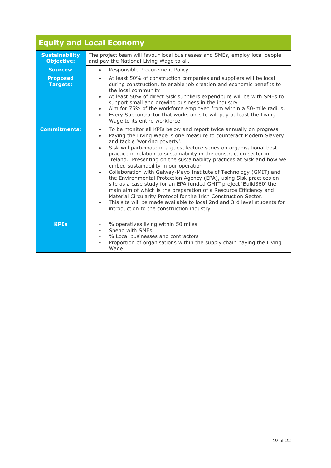|                                            | <b>Equity and Local Economy</b>                                                                                                                                                                                                                                                                                                                                                                                                                                                                                                                                                                                                                                                                                                                                                                                                                                                                                                                                                                    |
|--------------------------------------------|----------------------------------------------------------------------------------------------------------------------------------------------------------------------------------------------------------------------------------------------------------------------------------------------------------------------------------------------------------------------------------------------------------------------------------------------------------------------------------------------------------------------------------------------------------------------------------------------------------------------------------------------------------------------------------------------------------------------------------------------------------------------------------------------------------------------------------------------------------------------------------------------------------------------------------------------------------------------------------------------------|
| <b>Sustainability</b><br><b>Objective:</b> | The project team will favour local businesses and SMEs, employ local people<br>and pay the National Living Wage to all.                                                                                                                                                                                                                                                                                                                                                                                                                                                                                                                                                                                                                                                                                                                                                                                                                                                                            |
| <b>Sources:</b>                            | Responsible Procurement Policy<br>$\bullet$                                                                                                                                                                                                                                                                                                                                                                                                                                                                                                                                                                                                                                                                                                                                                                                                                                                                                                                                                        |
| <b>Proposed</b><br><b>Targets:</b>         | At least 50% of construction companies and suppliers will be local<br>$\bullet$<br>during construction, to enable job creation and economic benefits to<br>the local community<br>At least 50% of direct Sisk suppliers expenditure will be with SMEs to<br>$\bullet$<br>support small and growing business in the industry<br>Aim for 75% of the workforce employed from within a 50-mile radius.<br>Every Subcontractor that works on-site will pay at least the Living<br>$\bullet$<br>Wage to its entire workforce                                                                                                                                                                                                                                                                                                                                                                                                                                                                             |
| <b>Commitments:</b>                        | To be monitor all KPIs below and report twice annually on progress<br>$\bullet$<br>Paying the Living Wage is one measure to counteract Modern Slavery<br>$\bullet$<br>and tackle 'working poverty'.<br>Sisk will participate in a guest lecture series on organisational best<br>$\bullet$<br>practice in relation to sustainability in the construction sector in<br>Ireland. Presenting on the sustainability practices at Sisk and how we<br>embed sustainability in our operation<br>Collaboration with Galway-Mayo Institute of Technology (GMIT) and<br>$\bullet$<br>the Environmental Protection Agency (EPA), using Sisk practices on<br>site as a case study for an EPA funded GMIT project 'Build360' the<br>main aim of which is the preparation of a Resource Efficiency and<br>Material Circularity Protocol for the Irish Construction Sector.<br>This site will be made available to local 2nd and 3rd level students for<br>$\bullet$<br>introduction to the construction industry |
| <b>KPIs</b>                                | % operatives living within 50 miles<br>Spend with SMEs<br>% Local businesses and contractors<br>Proportion of organisations within the supply chain paying the Living<br>Wage                                                                                                                                                                                                                                                                                                                                                                                                                                                                                                                                                                                                                                                                                                                                                                                                                      |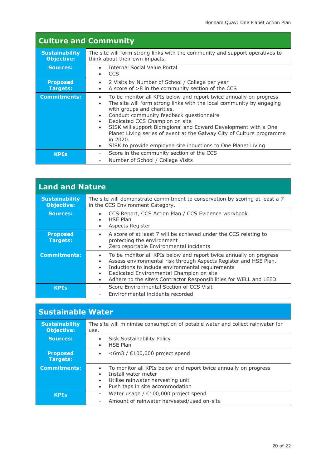| <b>Culture and Community</b>               |                                                                                                                                                                                                                                                                                                                                                                                                                                                                                                                                                               |
|--------------------------------------------|---------------------------------------------------------------------------------------------------------------------------------------------------------------------------------------------------------------------------------------------------------------------------------------------------------------------------------------------------------------------------------------------------------------------------------------------------------------------------------------------------------------------------------------------------------------|
| <b>Sustainability</b><br><b>Objective:</b> | The site will form strong links with the community and support operatives to<br>think about their own impacts.                                                                                                                                                                                                                                                                                                                                                                                                                                                |
| <b>Sources:</b>                            | Internal Social Value Portal<br><b>CCS</b>                                                                                                                                                                                                                                                                                                                                                                                                                                                                                                                    |
| <b>Proposed</b><br><b>Targets:</b>         | 2 Visits by Number of School / College per year<br>A score of >8 in the community section of the CCS<br>$\bullet$                                                                                                                                                                                                                                                                                                                                                                                                                                             |
| <b>Commitments:</b>                        | To be monitor all KPIs below and report twice annually on progress<br>$\bullet$<br>The site will form strong links with the local community by engaging<br>$\bullet$<br>with groups and charities.<br>Conduct community feedback questionnaire<br>$\bullet$<br>Dedicated CCS Champion on site<br>$\bullet$<br>SISK will support Bioregional and Edward Development with a One<br>$\bullet$<br>Planet Living series of event at the Galway City of Culture programme<br>in 2020.<br>SISK to provide employee site inductions to One Planet Living<br>$\bullet$ |
| <b>KPIs</b>                                | Score in the community section of the CCS<br>Number of School / College Visits                                                                                                                                                                                                                                                                                                                                                                                                                                                                                |

| <b>Land and Nature</b>                     |                                                                                                                                                                                                                                                                                                                                                                               |
|--------------------------------------------|-------------------------------------------------------------------------------------------------------------------------------------------------------------------------------------------------------------------------------------------------------------------------------------------------------------------------------------------------------------------------------|
| <b>Sustainability</b><br><b>Objective:</b> | The site will demonstrate commitment to conservation by scoring at least a 7<br>in the CCS Environment Category.                                                                                                                                                                                                                                                              |
| <b>Sources:</b>                            | CCS Report, CCS Action Plan / CCS Evidence workbook<br>$\bullet$<br><b>HSE Plan</b><br>٠<br>Aspects Register<br>$\bullet$                                                                                                                                                                                                                                                     |
| <b>Proposed</b><br><b>Targets:</b>         | A score of at least 7 will be achieved under the CCS relating to<br>$\bullet$<br>protecting the environment<br>Zero reportable Environmental incidents<br>$\bullet$                                                                                                                                                                                                           |
| <b>Commitments:</b>                        | To be monitor all KPIs below and report twice annually on progress<br>$\bullet$<br>Assess environmental risk through Aspects Register and HSE Plan.<br>$\bullet$<br>Inductions to include environmental requirements<br>$\bullet$<br>Dedicated Environmental Champion on site<br>$\bullet$<br>Adhere to the site's Contractor Responsibilities for WELL and LEED<br>$\bullet$ |
| <b>KPIs</b>                                | Score Environmental Section of CCS Visit<br>-<br>Environmental incidents recorded<br>$\qquad \qquad -$                                                                                                                                                                                                                                                                        |

| <b>Sustainable Water</b>                   |                                                                                                                                                                             |
|--------------------------------------------|-----------------------------------------------------------------------------------------------------------------------------------------------------------------------------|
| <b>Sustainability</b><br><b>Objective:</b> | The site will minimise consumption of potable water and collect rainwater for<br>use.                                                                                       |
| <b>Sources:</b>                            | Sisk Sustainability Policy<br><b>HSE Plan</b><br>$\bullet$                                                                                                                  |
| <b>Proposed</b><br><b>Targets:</b>         | $<$ 6m3 / $\epsilon$ 100,000 project spend                                                                                                                                  |
| <b>Commitments:</b>                        | To monitor all KPIs below and report twice annually on progress<br>Install water meter<br>Utilise rainwater harvesting unit<br>$\bullet$<br>Push taps in site accommodation |
| <b>KPIs</b>                                | Water usage / $£100,000$ project spend<br>Amount of rainwater harvested/used on-site<br>-                                                                                   |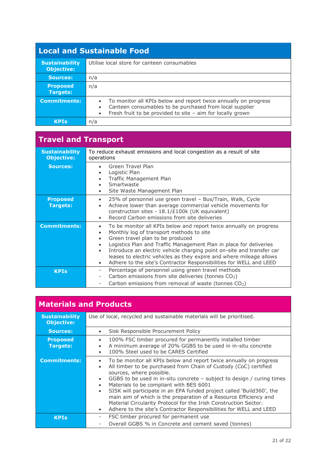# **Local and Sustainable Food**

| <b>Sustainability</b><br><b>Objective:</b> | Utilise local store for canteen consumables                                                                                                                                                                                       |
|--------------------------------------------|-----------------------------------------------------------------------------------------------------------------------------------------------------------------------------------------------------------------------------------|
| Sources:                                   | n/a                                                                                                                                                                                                                               |
| <b>Proposed</b><br><b>Targets:</b>         | n/a                                                                                                                                                                                                                               |
| <b>Commitments:</b>                        | To monitor all KPIs below and report twice annually on progress<br>$\bullet$<br>Canteen consumables to be purchased from local supplier<br>$\bullet$<br>Fresh fruit to be provided to site $-$ aim for locally grown<br>$\bullet$ |
| <b>KPTs</b>                                | n/a                                                                                                                                                                                                                               |

#### **Travel and Transport Sustainability** To reduce exhaust emissions and local congestion as a result of site **Objective:** operations

| <b>Objective:</b>                  | operations                                                                                                                                                                                                                                                                                                                                                                                                                                                               |
|------------------------------------|--------------------------------------------------------------------------------------------------------------------------------------------------------------------------------------------------------------------------------------------------------------------------------------------------------------------------------------------------------------------------------------------------------------------------------------------------------------------------|
| <b>Sources:</b>                    | Green Travel Plan<br>Logistic Plan<br>Traffic Management Plan<br>$\bullet$<br>Smartwaste<br>$\bullet$<br>Site Waste Management Plan<br>٠                                                                                                                                                                                                                                                                                                                                 |
| <b>Proposed</b><br><b>Targets:</b> | 25% of personnel use green travel – Bus/Train, Walk, Cycle<br>Achieve lower than average commercial vehicle movements for<br>$\bullet$<br>construction sites - 18.1/£100k (UK equivalent)<br>Record Carbon emissions from site deliveries<br>$\bullet$                                                                                                                                                                                                                   |
| <b>Commitments:</b>                | To be monitor all KPIs below and report twice annually on progress<br>Monthly log of transport methods to site<br>Green travel plan to be produced<br>Logistics Plan and Traffic Management Plan in place for deliveries<br>$\bullet$<br>Introduce an electric vehicle charging point on-site and transfer car<br>$\bullet$<br>leases to electric vehicles as they expire and where mileage allows<br>Adhere to the site's Contractor Responsibilities for WELL and LEED |
| <b>KPIs</b>                        | Percentage of personnel using green travel methods<br>$\overline{\phantom{a}}$<br>Carbon emissions from site deliveries (tonnes CO <sub>2</sub> )<br>$\overline{\phantom{a}}$<br>Carbon emissions from removal of waste (tonnes $CO2$ )                                                                                                                                                                                                                                  |

# **Materials and Products**

| <b>Sustainability</b><br><b>Objective:</b> | Use of local, recycled and sustainable materials will be prioritised.                                                                                                                                                                                                                                                                                                                                                                                                                                                                                                                                                                                         |
|--------------------------------------------|---------------------------------------------------------------------------------------------------------------------------------------------------------------------------------------------------------------------------------------------------------------------------------------------------------------------------------------------------------------------------------------------------------------------------------------------------------------------------------------------------------------------------------------------------------------------------------------------------------------------------------------------------------------|
| <b>Sources:</b>                            | Sisk Responsible Procurement Policy<br>$\bullet$                                                                                                                                                                                                                                                                                                                                                                                                                                                                                                                                                                                                              |
| <b>Proposed</b><br><b>Targets:</b>         | 100% FSC timber procured for permanently installed timber<br>$\bullet$<br>A minimum average of 20% GGBS to be used in in-situ concrete<br>$\bullet$<br>100% Steel used to be CARES Certified<br>$\bullet$                                                                                                                                                                                                                                                                                                                                                                                                                                                     |
| <b>Commitments:</b>                        | To be monitor all KPIs below and report twice annually on progress<br>$\bullet$<br>All timber to be purchased from Chain of Custody (CoC) certified<br>$\bullet$<br>sources, where possible.<br>GGBS to be used in in-situ concrete - subject to design / curing times<br>$\bullet$<br>Materials to be compliant with BES 6001<br>$\bullet$<br>SISK will participate in an EPA funded project called 'Build360', the<br>$\bullet$<br>main aim of which is the preparation of a Resource Efficiency and<br>Material Circularity Protocol for the Irish Construction Sector.<br>Adhere to the site's Contractor Responsibilities for WELL and LEED<br>$\bullet$ |
| <b>KPIs</b>                                | FSC timber procured for permanent use<br>۰<br>Overall GGBS % in Concrete and cement saved (tonnes)                                                                                                                                                                                                                                                                                                                                                                                                                                                                                                                                                            |